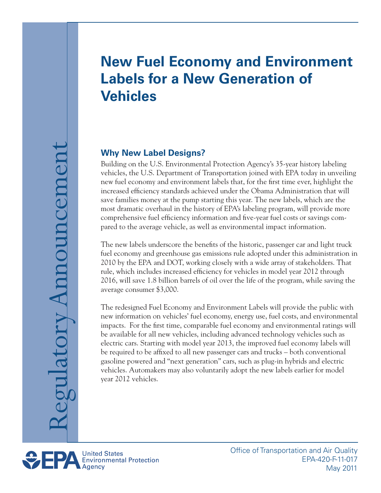# **New Fuel Economy and Environment Labels for a New Generation of Vehicles**

# **Why New Label Designs?**

Building on the U.S. Environmental Protection Agency's 35-year history labeling vehicles, the U.S. Department of Transportation joined with EPA today in unveiling new fuel economy and environment labels that, for the first time ever, highlight the increased efficiency standards achieved under the Obama Administration that will save families money at the pump starting this year. The new labels, which are the most dramatic overhaul in the history of EPA's labeling program, will provide more comprehensive fuel efficiency information and five-year fuel costs or savings compared to the average vehicle, as well as environmental impact information.

The new labels underscore the benefits of the historic, passenger car and light truck fuel economy and greenhouse gas emissions rule adopted under this administration in 2010 by the EPA and DOT, working closely with a wide array of stakeholders. That rule, which includes increased efficiency for vehicles in model year 2012 through 2016, will save 1.8 billion barrels of oil over the life of the program, while saving the average consumer \$3,000.

The redesigned Fuel Economy and Environment Labels will provide the public with new information on vehicles' fuel economy, energy use, fuel costs, and environmental impacts. For the first time, comparable fuel economy and environmental ratings will be available for all new vehicles, including advanced technology vehicles such as electric cars. Starting with model year 2013, the improved fuel economy labels will be required to be affixed to all new passenger cars and trucks – both conventional gasoline powered and "next generation" cars, such as plug-in hybrids and electric vehicles. Automakers may also voluntarily adopt the new labels earlier for model year 2012 vehicles.



Office of Transportation and Air Quality EPA-420-F-11-017 May 2011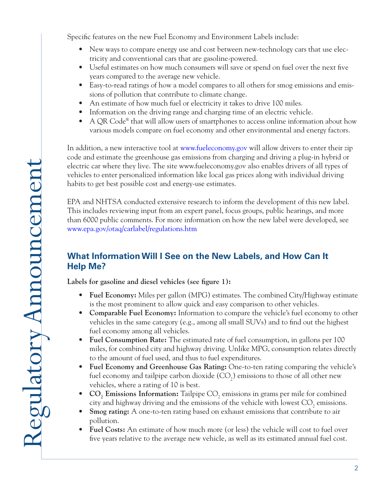Specific features on the new Fuel Economy and Environment Labels include:

- New ways to compare energy use and cost between new-technology cars that use electricity and conventional cars that are gasoline-powered.
- Useful estimates on how much consumers will save or spend on fuel over the next five years compared to the average new vehicle.
- Easy-to-read ratings of how a model compares to all others for smog emissions and emissions of pollution that contribute to climate change.
- An estimate of how much fuel or electricity it takes to drive 100 miles.
- Information on the driving range and charging time of an electric vehicle.
- A QR Code<sup>®</sup> that will allow users of smartphones to access online information about how various models compare on fuel economy and other environmental and energy factors.

In addition, a new interactive tool at www.fueleconomy.gov will allow drivers to enter their zip code and estimate the greenhouse gas emissions from charging and driving a plug-in hybrid or electric car where they live. The site www.fueleconomy.gov also enables drivers of all types of vehicles to enter personalized information like local gas prices along with individual driving habits to get best possible cost and energy-use estimates.

EPA and NHTSA conducted extensive research to inform the development of this new label. This includes reviewing input from an expert panel, focus groups, public hearings, and more than 6000 public comments. For more information on how the new label were developed, see www.epa.gov/otaq/carlabel/regulations.htm

# **What Information Will I See on the New Labels, and How Can It Help Me?**

**Labels for gasoline and diesel vehicles (see figure 1):**

- **• Fuel Economy:** Miles per gallon (MPG) estimates. The combined City/Highway estimate is the most prominent to allow quick and easy comparison to other vehicles.
- **• Comparable Fuel Economy:** Information to compare the vehicle's fuel economy to other vehicles in the same category (e.g., among all small SUVs) and to find out the highest fuel economy among all vehicles.
- **Fuel Consumption Rate:** The estimated rate of fuel consumption, in gallons per 100 miles, for combined city and highway driving. Unlike MPG, consumption relates directly to the amount of fuel used, and thus to fuel expenditures.
- Fuel Economy and Greenhouse Gas Rating: One-to-ten rating comparing the vehicle's fuel economy and tailpipe carbon dioxide  $({\rm CO}_2)$  emissions to those of all other new vehicles, where a rating of 10 is best.
- **CO<sub>2</sub> Emissions Information:** Tailpipe CO<sub>2</sub> emissions in grams per mile for combined city and highway driving and the emissions of the vehicle with lowest  $\mathrm{CO}_2$  emissions.
- **Smog rating:** A one-to-ten rating based on exhaust emissions that contribute to air pollution.
- **Fuel Costs:** An estimate of how much more (or less) the vehicle will cost to fuel over five years relative to the average new vehicle, as well as its estimated annual fuel cost.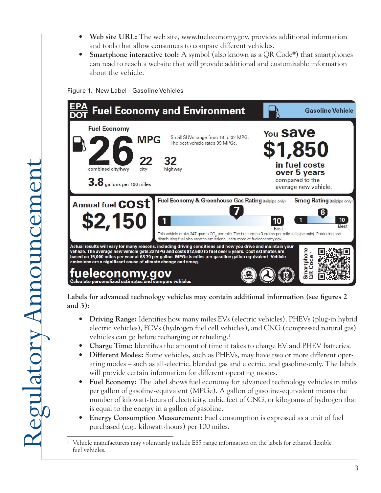- Web site URL: The web site, www.fueleconomy.gov, provides additional information and tools that allow consumers to compare different vehicles.
- **Smartphone interactive tool:** A symbol (also known as a QR Code®) that smartphones can read to reach a website that will provide additional and customizable information about the vehicle.

Figure 1. New Label - Gasoline Vehicles



**Labels for advanced technology vehicles may contain additional information (see figures 2 and 3):**

- **• Driving Range:** Identifies how many miles EVs (electric vehicles), PHEVs (plug-in hybrid electric vehicles), FCVs (hydrogen fuel cell vehicles), and CNG (compressed natural gas) vehicles can go before recharging or refueling.<sup>1</sup>
- Charge Time: Identifies the amount of time it takes to charge EV and PHEV batteries.
- **Different Modes:** Some vehicles, such as PHEVs, may have two or more different operating modes – such as all-electric, blended gas and electric, and gasoline-only. The labels will provide certain information for different operating modes.
- **Fuel Economy:** The label shows fuel economy for advanced technology vehicles in miles per gallon of gasoline-equivalent (MPGe). A gallon of gasoline-equivalent means the number of kilowatt-hours of electricity, cubic feet of CNG, or kilograms of hydrogen that is equal to the energy in a gallon of gasoline.
- **Energy Consumption Measurement:** Fuel consumption is expressed as a unit of fuel purchased (e.g., kilowatt-hours) per 100 miles.

<sup>&</sup>lt;sup>1</sup> Vehicle manufacturers may voluntarily include E85 range information on the labels for ethanol flexible fuel vehicles.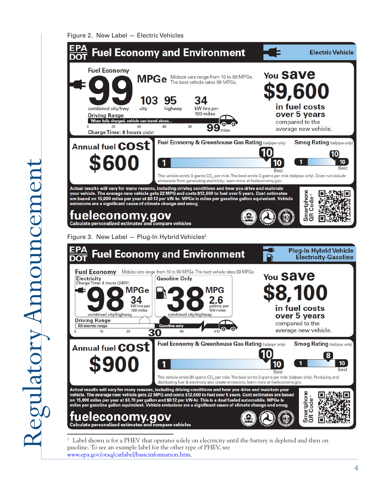Figure 2. New Label — Electric Vehicles



 $2<sup>2</sup>$  Label shown is for a PHEV that operates solely on electricity until the battery is depleted and then on gasoline. To see an example label for the other type of PHEV, see www.epa.gov/otaq/carlabel/basicinformation.htm.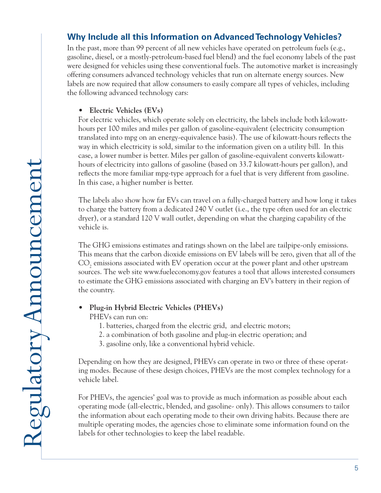## **Why Include all this Information on Advanced Technology Vehicles?**

In the past, more than 99 percent of all new vehicles have operated on petroleum fuels (e.g., gasoline, diesel, or a mostly-petroleum-based fuel blend) and the fuel economy labels of the past were designed for vehicles using these conventional fuels. The automotive market is increasingly offering consumers advanced technology vehicles that run on alternate energy sources. New labels are now required that allow consumers to easily compare all types of vehicles, including the following advanced technology cars:

#### **• Electric Vehicles (EVs)**

For electric vehicles, which operate solely on electricity, the labels include both kilowatthours per 100 miles and miles per gallon of gasoline-equivalent (electricity consumption translated into mpg on an energy-equivalence basis). The use of kilowatt-hours reflects the way in which electricity is sold, similar to the information given on a utility bill. In this case, a lower number is better. Miles per gallon of gasoline-equivalent converts kilowatthours of electricity into gallons of gasoline (based on 33.7 kilowatt-hours per gallon), and reflects the more familiar mpg-type approach for a fuel that is very different from gasoline. In this case, a higher number is better.

The labels also show how far EVs can travel on a fully-charged battery and how long it takes to charge the battery from a dedicated 240 V outlet (i.e., the type often used for an electric dryer), or a standard 120 V wall outlet, depending on what the charging capability of the vehicle is.

The GHG emissions estimates and ratings shown on the label are tailpipe-only emissions. This means that the carbon dioxide emissions on EV labels will be zero, given that all of the  $\mathrm{CO}_2$  emissions associated with EV operation occur at the power plant and other upstream sources. The web site www.fueleconomy.gov features a tool that allows interested consumers to estimate the GHG emissions associated with charging an EV's battery in their region of the country.

**Plug-in Hybrid Electric Vehicles (PHEVs)** 

PHEVs can run on:

- 1. batteries, charged from the electric grid, and electric motors;
- 2. a combination of both gasoline and plug-in electric operation; and
- 3. gasoline only, like a conventional hybrid vehicle.

Depending on how they are designed, PHEVs can operate in two or three of these operating modes. Because of these design choices, PHEVs are the most complex technology for a vehicle label.

For PHEVs, the agencies' goal was to provide as much information as possible about each operating mode (all-electric, blended, and gasoline- only). This allows consumers to tailor the information about each operating mode to their own driving habits. Because there are multiple operating modes, the agencies chose to eliminate some information found on the labels for other technologies to keep the label readable.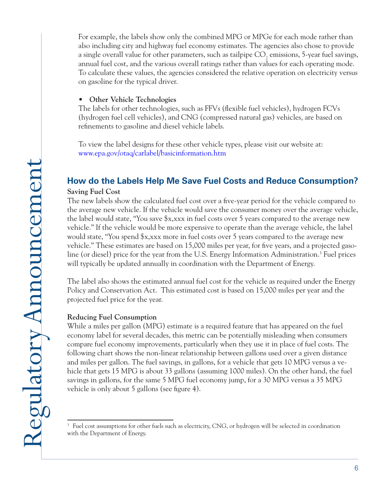For example, the labels show only the combined MPG or MPGe for each mode rather than also including city and highway fuel economy estimates. The agencies also chose to provide a single overall value for other parameters, such as tailpipe  $\mathrm{CO}_2$  emissions, 5-year fuel savings, annual fuel cost, and the various overall ratings rather than values for each operating mode. To calculate these values, the agencies considered the relative operation on electricity versus on gasoline for the typical driver.

#### **• Other Vehicle Technologies**

The labels for other technologies, such as FFVs (flexible fuel vehicles), hydrogen FCVs (hydrogen fuel cell vehicles), and CNG (compressed natural gas) vehicles, are based on refinements to gasoline and diesel vehicle labels.

To view the label designs for these other vehicle types, please visit our website at: www.epa.gov/otaq/carlabel/basicinformation.htm

## **How do the Labels Help Me Save Fuel Costs and Reduce Consumption?**

#### **Saving Fuel Cost**

The new labels show the calculated fuel cost over a five-year period for the vehicle compared to the average new vehicle. If the vehicle would save the consumer money over the average vehicle, the label would state, "You save \$x,xxx in fuel costs over 5 years compared to the average new vehicle." If the vehicle would be more expensive to operate than the average vehicle, the label would state, "You spend \$x,xxx more in fuel costs over 5 years compared to the average new vehicle." These estimates are based on 15,000 miles per year, for five years, and a projected gasoline (or diesel) price for the year from the U.S. Energy Information Administration.<sup>3</sup> Fuel prices will typically be updated annually in coordination with the Department of Energy.

The label also shows the estimated annual fuel cost for the vehicle as required under the Energy Policy and Conservation Act. This estimated cost is based on 15,000 miles per year and the projected fuel price for the year.

#### **Reducing Fuel Consumption**

While a miles per gallon (MPG) estimate is a required feature that has appeared on the fuel economy label for several decades, this metric can be potentially misleading when consumers compare fuel economy improvements, particularly when they use it in place of fuel costs. The following chart shows the non-linear relationship between gallons used over a given distance and miles per gallon. The fuel savings, in gallons, for a vehicle that gets 10 MPG versus a vehicle that gets 15 MPG is about 33 gallons (assuming 1000 miles). On the other hand, the fuel savings in gallons, for the same 5 MPG fuel economy jump, for a 30 MPG versus a 35 MPG vehicle is only about 5 gallons (see figure 4).

<sup>&</sup>lt;sup>3</sup> Fuel cost assumptions for other fuels such as electricity, CNG, or hydrogen will be selected in coordination with the Department of Energy.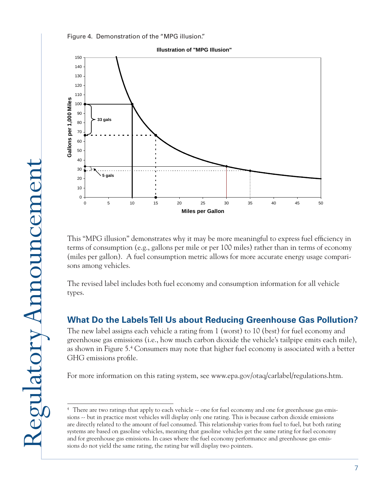



This "MPG illusion" demonstrates why it may be more meaningful to express fuel efficiency in terms of consumption (e.g., gallons per mile or per 100 miles) rather than in terms of economy (miles per gallon). A fuel consumption metric allows for more accurate energy usage comparisons among vehicles.

The revised label includes both fuel economy and consumption information for all vehicle types.

## **What Do the Labels Tell Us about Reducing Greenhouse Gas Pollution?**

The new label assigns each vehicle a rating from 1 (worst) to 10 (best) for fuel economy and greenhouse gas emissions (i.e., how much carbon dioxide the vehicle's tailpipe emits each mile), as shown in Figure 5.4 Consumers may note that higher fuel economy is associated with a better GHG emissions profile.

For more information on this rating system, see www.epa.gov/otaq/carlabel/regulations.htm.

<sup>&</sup>lt;sup>4</sup> There are two ratings that apply to each vehicle  $\sim$  one for fuel economy and one for greenhouse gas emissions -- but in practice most vehicles will display only one rating. This is because carbon dioxide emissions are directly related to the amount of fuel consumed. This relationship varies from fuel to fuel, but both rating systems are based on gasoline vehicles, meaning that gasoline vehicles get the same rating for fuel economy and for greenhouse gas emissions. In cases where the fuel economy performance and greenhouse gas emissions do not yield the same rating, the rating bar will display two pointers.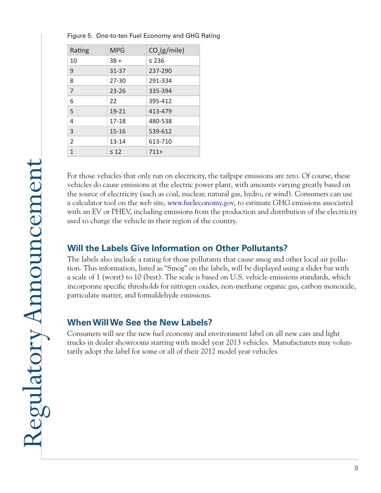| Rating         | <b>MPG</b> | CO <sub>2</sub> (g/mile) |
|----------------|------------|--------------------------|
| 10             | $38 +$     | $\leq 236$               |
| 9              | 31-37      | 237-290                  |
| 8              | $27 - 30$  | 291-334                  |
| $\overline{7}$ | $23 - 26$  | 335-394                  |
| 6              | 22         | 395-412                  |
| 5              | 19-21      | 413-479                  |
| 4              | 17-18      | 480-538                  |
| 3              | $15 - 16$  | 539-612                  |
| $\overline{2}$ | $13 - 14$  | 613-710                  |
| 1              | $\leq 12$  | $711+$                   |

Figure 5. One-to-ten Fuel Economy and GHG Rating

For those vehicles that only run on electricity, the tailpipe emissions are zero. Of course, these vehicles do cause emissions at the electric power plant, with amounts varying greatly based on the source of electricity (such as coal, nuclear, natural gas, hydro, or wind). Consumers can use a calculator tool on the web site, www.fueleconomy.gov, to estimate GHG emissions associated with an EV or PHEV, including emissions from the production and distribution of the electricity used to charge the vehicle in their region of the country.

## **Will the Labels Give Information on Other Pollutants?**

The labels also include a rating for those pollutants that cause smog and other local air pollution. This information, listed as "Smog" on the labels, will be displayed using a slider bar with a scale of 1 (worst) to 10 (best). The scale is based on U.S. vehicle emissions standards, which incorporate specific thresholds for nitrogen oxides, non-methane organic gas, carbon monoxide, particulate matter, and formaldehyde emissions.

## **When Will We See the New Labels?**

Consumers will see the new fuel economy and environment label on all new cars and light trucks in dealer showrooms starting with model year 2013 vehicles. Manufacturers may voluntarily adopt the label for some or all of their 2012 model year vehicles.